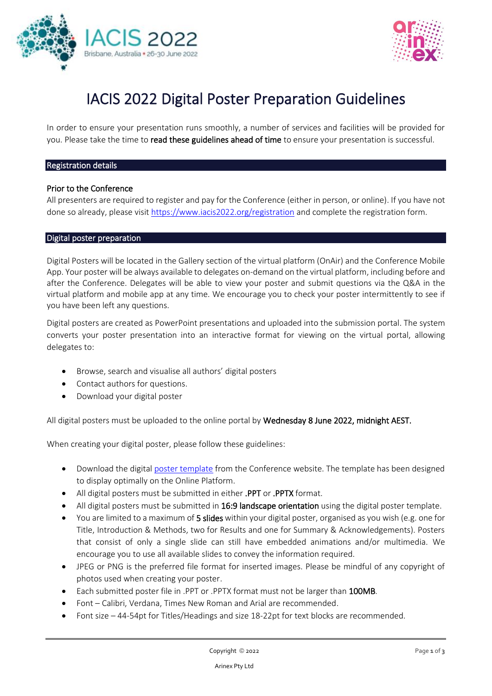



# IACIS 2022 Digital Poster Preparation Guidelines

In order to ensure your presentation runs smoothly, a number of services and facilities will be provided for you. Please take the time to read these guidelines ahead of time to ensure your presentation is successful.

#### Registration details

#### Prior to the Conference

All presenters are required to register and pay for the Conference (either in person, or online). If you have not done so already, please visit [https://www.iacis2022.org/registration](https://www.iacis2022.org/registration/) and complete the registration form.

#### Digital poster preparation

Digital Posters will be located in the Gallery section of the virtual platform (OnAir) and the Conference Mobile App. Your poster will be always available to delegates on-demand on the virtual platform, including before and after the Conference. Delegates will be able to view your poster and submit questions via the Q&A in the virtual platform and mobile app at any time. We encourage you to check your poster intermittently to see if you have been left any questions.

Digital posters are created as PowerPoint presentations and uploaded into the submission portal. The system converts your poster presentation into an interactive format for viewing on the virtual portal, allowing delegates to:

- Browse, search and visualise all authors' digital posters
- Contact authors for questions.
- Download your digital poster

All digital posters must be uploaded to the online portal by Wednesday 8 June 2022, midnight AEST.

When creating your digital poster, please follow these guidelines:

- Download the digita[l poster template](https://www.iacis2022.org/guidelines-and-resources/) from the Conference website. The template has been designed to display optimally on the Online Platform.
- All digital posters must be submitted in either .PPT or .PPTX format.
- All digital posters must be submitted in 16:9 landscape orientation using the digital poster template.
- You are limited to a maximum of 5 slides within your digital poster, organised as you wish (e.g. one for Title, Introduction & Methods, two for Results and one for Summary & Acknowledgements). Posters that consist of only a single slide can still have embedded animations and/or multimedia. We encourage you to use all available slides to convey the information required.
- JPEG or PNG is the preferred file format for inserted images. Please be mindful of any copyright of photos used when creating your poster.
- Each submitted poster file in .PPT or .PPTX format must not be larger than 100MB.
- Font Calibri, Verdana, Times New Roman and Arial are recommended.
- Font size 44-54pt for Titles/Headings and size 18-22pt for text blocks are recommended.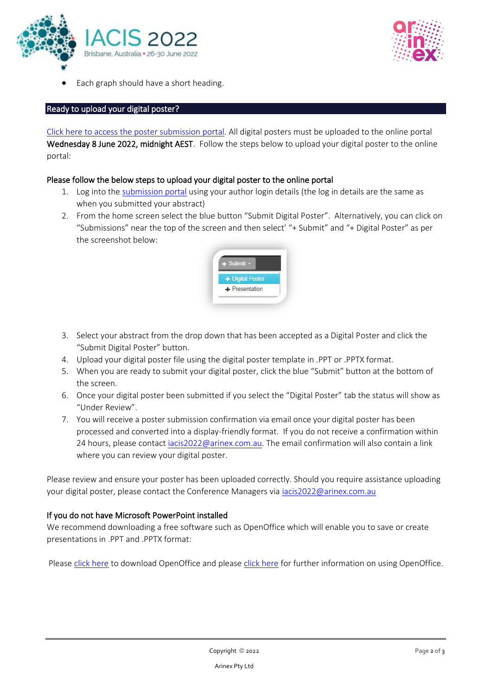



• Each graph should have a short heading.

## Ready to upload your digital poster?

[Click here to access the poster submission portal.](https://iacis2021-c10000.eorganiser.com.au/) All digital posters must be uploaded to the online portal Wednesday 8 June 2022, midnight AEST. Follow the steps below to upload your digital poster to the online portal:

# Please follow the below steps to upload your digital poster to the online portal

- 1. Log into the [submission portal](https://iacis2021-c10000.eorganiser.com.au/) using your author login details (the log in details are the same as when you submitted your abstract)
- 2. From the home screen select the blue button "Submit Digital Poster". Alternatively, you can click on "Submissions" near the top of the screen and then select' "+ Submit" and "+ Digital Poster" as per the screenshot below:



- 3. Select your abstract from the drop down that has been accepted as a Digital Poster and click the "Submit Digital Poster" button.
- 4. Upload your digital poster file using the digital poster template in .PPT or .PPTX format.
- 5. When you are ready to submit your digital poster, click the blue "Submit" button at the bottom of the screen.
- 6. Once your digital poster been submitted if you select the "Digital Poster" tab the status will show as "Under Review".
- 7. You will receive a poster submission confirmation via email once your digital poster has been processed and converted into a display-friendly format. If you do not receive a confirmation within 24 hours, please contact [iacis2022@arinex.com.au.](mailto:iacis2022@arinex.com.au) The email confirmation will also contain a link where you can review your digital poster.

Please review and ensure your poster has been uploaded correctly. Should you require assistance uploading your digital poster, please contact the Conference Managers via [iacis2022@arinex.com.au](mailto:iacis2022@arinex.com.au)

## If you do not have Microsoft PowerPoint installed

We recommend downloading a free software such as OpenOffice which will enable you to save or create presentations in .PPT and .PPTX format:

Pleas[e click here](https://www.openoffice.org/download/index.html) to download OpenOffice and please [click here](https://wiki.openoffice.org/wiki/Documentation/OOo3_User_Guides/Impress_Guide/Opening_and_saving_a_PowerPoint_file) for further information on using OpenOffice.